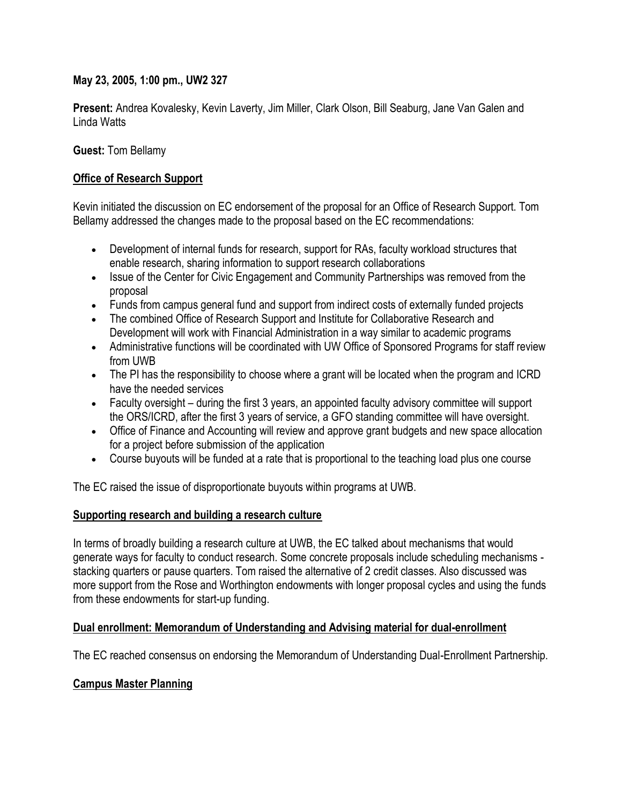## **May 23, 2005, 1:00 pm., UW2 327**

**Present:** Andrea Kovalesky, Kevin Laverty, Jim Miller, Clark Olson, Bill Seaburg, Jane Van Galen and Linda Watts

**Guest:** Tom Bellamy

## **Office of Research Support**

Kevin initiated the discussion on EC endorsement of the proposal for an Office of Research Support. Tom Bellamy addressed the changes made to the proposal based on the EC recommendations:

- Development of internal funds for research, support for RAs, faculty workload structures that enable research, sharing information to support research collaborations
- Issue of the Center for Civic Engagement and Community Partnerships was removed from the proposal
- Funds from campus general fund and support from indirect costs of externally funded projects
- The combined Office of Research Support and Institute for Collaborative Research and Development will work with Financial Administration in a way similar to academic programs
- Administrative functions will be coordinated with UW Office of Sponsored Programs for staff review from UWB
- The PI has the responsibility to choose where a grant will be located when the program and ICRD have the needed services
- Faculty oversight during the first 3 years, an appointed faculty advisory committee will support the ORS/ICRD, after the first 3 years of service, a GFO standing committee will have oversight.
- Office of Finance and Accounting will review and approve grant budgets and new space allocation for a project before submission of the application
- Course buyouts will be funded at a rate that is proportional to the teaching load plus one course

The EC raised the issue of disproportionate buyouts within programs at UWB.

#### **Supporting research and building a research culture**

In terms of broadly building a research culture at UWB, the EC talked about mechanisms that would generate ways for faculty to conduct research. Some concrete proposals include scheduling mechanisms stacking quarters or pause quarters. Tom raised the alternative of 2 credit classes. Also discussed was more support from the Rose and Worthington endowments with longer proposal cycles and using the funds from these endowments for start-up funding.

#### **Dual enrollment: Memorandum of Understanding and Advising material for dual-enrollment**

The EC reached consensus on endorsing the Memorandum of Understanding Dual-Enrollment Partnership.

# **Campus Master Planning**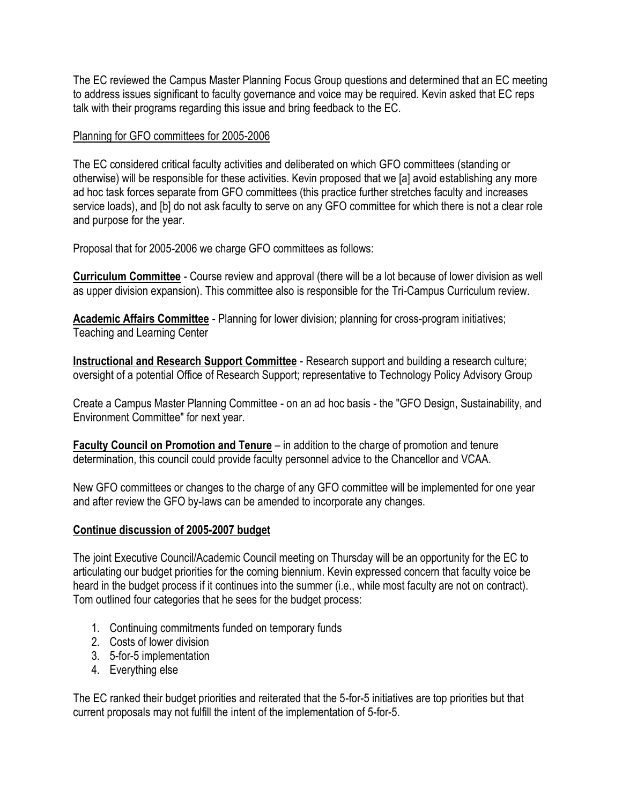The EC reviewed the Campus Master Planning Focus Group questions and determined that an EC meeting to address issues significant to faculty governance and voice may be required. Kevin asked that EC reps talk with their programs regarding this issue and bring feedback to the EC.

# Planning for GFO committees for 2005-2006

The EC considered critical faculty activities and deliberated on which GFO committees (standing or otherwise) will be responsible for these activities. Kevin proposed that we [a] avoid establishing any more ad hoc task forces separate from GFO committees (this practice further stretches faculty and increases service loads), and [b] do not ask faculty to serve on any GFO committee for which there is not a clear role and purpose for the year.

Proposal that for 2005-2006 we charge GFO committees as follows:

**Curriculum Committee** - Course review and approval (there will be a lot because of lower division as well as upper division expansion). This committee also is responsible for the Tri-Campus Curriculum review.

**Academic Affairs Committee** - Planning for lower division; planning for cross-program initiatives; Teaching and Learning Center

**Instructional and Research Support Committee** - Research support and building a research culture; oversight of a potential Office of Research Support; representative to Technology Policy Advisory Group

Create a Campus Master Planning Committee - on an ad hoc basis - the "GFO Design, Sustainability, and Environment Committee" for next year.

**Faculty Council on Promotion and Tenure** – in addition to the charge of promotion and tenure determination, this council could provide faculty personnel advice to the Chancellor and VCAA.

New GFO committees or changes to the charge of any GFO committee will be implemented for one year and after review the GFO by-laws can be amended to incorporate any changes.

# **Continue discussion of 2005-2007 budget**

The joint Executive Council/Academic Council meeting on Thursday will be an opportunity for the EC to articulating our budget priorities for the coming biennium. Kevin expressed concern that faculty voice be heard in the budget process if it continues into the summer (i.e., while most faculty are not on contract). Tom outlined four categories that he sees for the budget process:

- 1. Continuing commitments funded on temporary funds
- 2. Costs of lower division
- 3. 5-for-5 implementation
- 4. Everything else

The EC ranked their budget priorities and reiterated that the 5-for-5 initiatives are top priorities but that current proposals may not fulfill the intent of the implementation of 5-for-5.